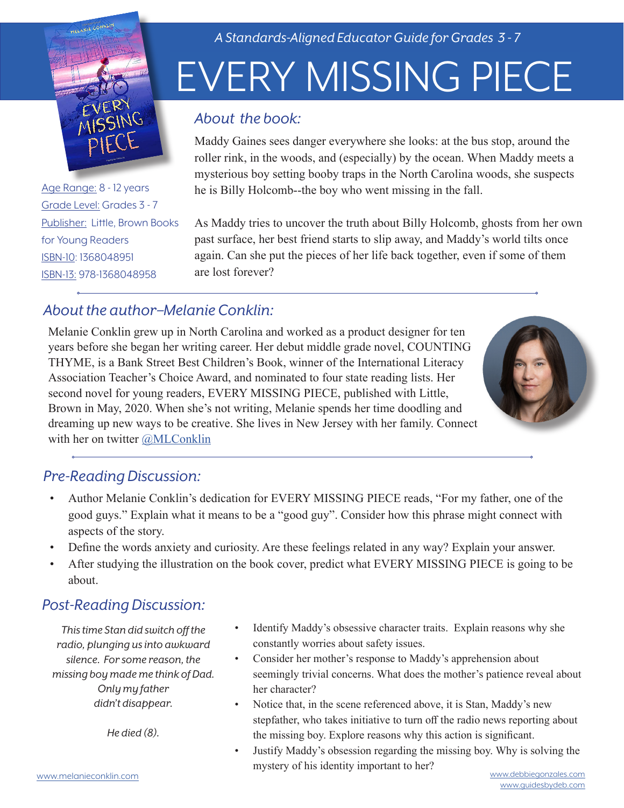

Age Range: 8 - 12 years Grade Level: Grades 3 - 7 Publisher: Little, Brown Books for Young Readers ISBN-10: 1368048951 ISBN-13: 978-1368048958

*A Standards-Aligned Educator Guide for Grades 3 - 7*

# EVERY MISSING PIECE

#### *About the book:*

Maddy Gaines sees danger everywhere she looks: at the bus stop, around the roller rink, in the woods, and (especially) by the ocean. When Maddy meets a mysterious boy setting booby traps in the North Carolina woods, she suspects he is Billy Holcomb--the boy who went missing in the fall.

As Maddy tries to uncover the truth about Billy Holcomb, ghosts from her own past surface, her best friend starts to slip away, and Maddy's world tilts once again. Can she put the pieces of her life back together, even if some of them are lost forever?

### *About the author–Melanie Conklin:*

Melanie Conklin grew up in North Carolina and worked as a product designer for ten years before she began her writing career. Her debut middle grade novel, COUNTING THYME, is a Bank Street Best Children's Book, winner of the International Literacy Association Teacher's Choice Award, and nominated to four state reading lists. Her second novel for young readers, EVERY MISSING PIECE, published with Little, Brown in May, 2020. When she's not writing, Melanie spends her time doodling and dreaming up new ways to be creative. She lives in New Jersey with her family. Connect with her on twitter @MLConklin



#### *Pre-Reading Discussion:*

- Author Melanie Conklin's dedication for EVERY MISSING PIECE reads, "For my father, one of the good guys." Explain what it means to be a "good guy". Consider how this phrase might connect with aspects of the story.
- Define the words anxiety and curiosity. Are these feelings related in any way? Explain your answer.
- After studying the illustration on the book cover, predict what EVERY MISSING PIECE is going to be about.

## *Post-Reading Discussion:*

*This time Stan did switch off the radio, plunging us into awkward silence. For some reason, the missing boy made me think of Dad. Only my father didn't disappear.*

*He died (8).*

- Identify Maddy's obsessive character traits. Explain reasons why she constantly worries about safety issues.
- Consider her mother's response to Maddy's apprehension about seemingly trivial concerns. What does the mother's patience reveal about her character?
- Notice that, in the scene referenced above, it is Stan, Maddy's new stepfather, who takes initiative to turn off the radio news reporting about the missing boy. Explore reasons why this action is significant.
- [www.melanieconklin.com](http://www.melanieconklin.com) [www.debbiegonzales.com](http://www.debbiegonzales.com/) • Justify Maddy's obsession regarding the missing boy. Why is solving the mystery of his identity important to her?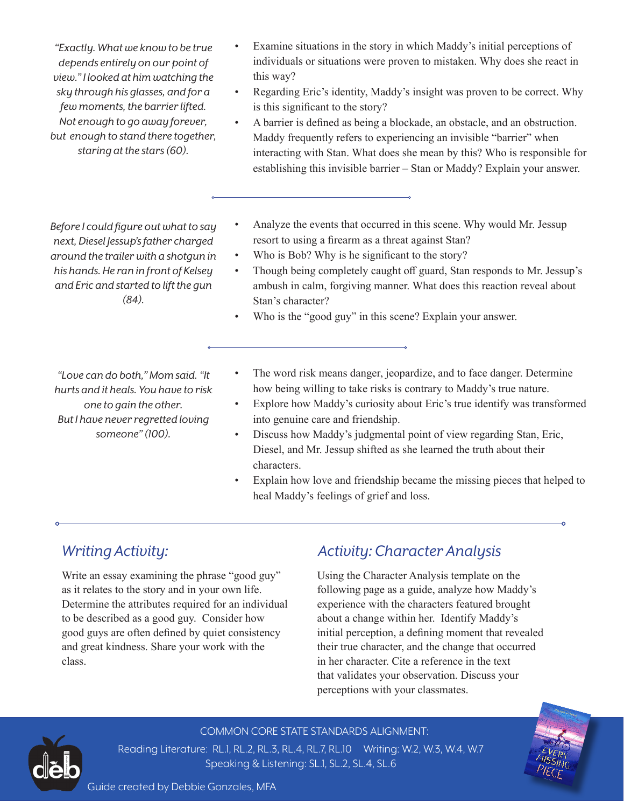*"Exactly. What we know to be true depends entirely on our point of view." I looked at him watching the sky through his glasses, and for a few moments, the barrier lifted. Not enough to go away forever, but enough to stand there together, staring at the stars (60).*

- Examine situations in the story in which Maddy's initial perceptions of individuals or situations were proven to mistaken. Why does she react in this way?
- Regarding Eric's identity, Maddy's insight was proven to be correct. Why is this significant to the story?
- A barrier is defined as being a blockade, an obstacle, and an obstruction. Maddy frequently refers to experiencing an invisible "barrier" when interacting with Stan. What does she mean by this? Who is responsible for establishing this invisible barrier – Stan or Maddy? Explain your answer.

*Before I could figure out what to say next, Diesel Jessup's father charged around the trailer with a shotgun in his hands. He ran in front of Kelsey and Eric and started to lift the gun (84).* 

- Analyze the events that occurred in this scene. Why would Mr. Jessup resort to using a firearm as a threat against Stan?
- Who is Bob? Why is he significant to the story?
- Though being completely caught off guard, Stan responds to Mr. Jessup's ambush in calm, forgiving manner. What does this reaction reveal about Stan's character?
- Who is the "good guy" in this scene? Explain your answer.

*"Love can do both," Mom said. "It hurts and it heals. You have to risk one to gain the other. But I have never regretted loving someone" (100).*

- The word risk means danger, jeopardize, and to face danger. Determine how being willing to take risks is contrary to Maddy's true nature.
- Explore how Maddy's curiosity about Eric's true identify was transformed into genuine care and friendship.
- Discuss how Maddy's judgmental point of view regarding Stan, Eric, Diesel, and Mr. Jessup shifted as she learned the truth about their characters.
- Explain how love and friendship became the missing pieces that helped to heal Maddy's feelings of grief and loss.

#### *Writing Activity:*

Write an essay examining the phrase "good guy" as it relates to the story and in your own life. Determine the attributes required for an individual to be described as a good guy. Consider how good guys are often defined by quiet consistency and great kindness. Share your work with the class.

#### *Activity: Character Analysis*

Using the Character Analysis template on the following page as a guide, analyze how Maddy's experience with the characters featured brought about a change within her. Identify Maddy's initial perception, a defining moment that revealed their true character, and the change that occurred in her character. Cite a reference in the text that validates your observation. Discuss your perceptions with your classmates.



COMMON CORE STATE STANDARDS ALIGNMENT: Reading Literature: RL.1, RL.2, RL.3, RL.4, RL.7, RL.10 Writing: W.2, W.3, W.4, W.7 Speaking & Listening: SL.1, SL.2, SL.4, SL.6